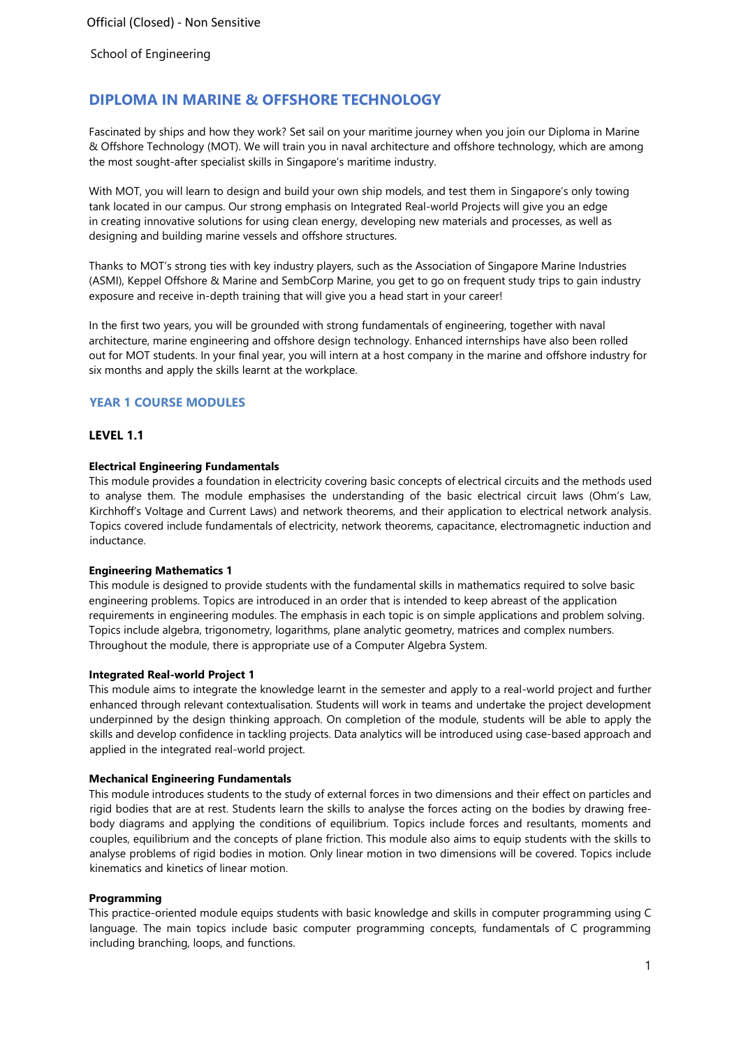# **DIPLOMA IN MARINE & OFFSHORE TECHNOLOGY**

Fascinated by ships and how they work? Set sail on your maritime journey when you join our Diploma in Marine & Offshore Technology (MOT). We will train you in naval architecture and offshore technology, which are among the most sought-after specialist skills in Singapore's maritime industry.

With MOT, you will learn to design and build your own ship models, and test them in Singapore's only towing tank located in our campus. Our strong emphasis on Integrated Real-world Projects will give you an edge in creating innovative solutions for using clean energy, developing new materials and processes, as well as designing and building marine vessels and offshore structures.

Thanks to MOT's strong ties with key industry players, such as the Association of Singapore Marine Industries (ASMI), Keppel Offshore & Marine and SembCorp Marine, you get to go on frequent study trips to gain industry exposure and receive in-depth training that will give you a head start in your career!

In the first two years, you will be grounded with strong fundamentals of engineering, together with naval architecture, marine engineering and offshore design technology. Enhanced internships have also been rolled out for MOT students. In your final year, you will intern at a host company in the marine and offshore industry for six months and apply the skills learnt at the workplace.

# **YEAR 1 COURSE MODULES**

# **LEVEL 1.1**

# **Electrical Engineering Fundamentals**

This module provides a foundation in electricity covering basic concepts of electrical circuits and the methods used to analyse them. The module emphasises the understanding of the basic electrical circuit laws (Ohm's Law, Kirchhoff's Voltage and Current Laws) and network theorems, and their application to electrical network analysis. Topics covered include fundamentals of electricity, network theorems, capacitance, electromagnetic induction and inductance.

#### **Engineering Mathematics 1**

This module is designed to provide students with the fundamental skills in mathematics required to solve basic engineering problems. Topics are introduced in an order that is intended to keep abreast of the application requirements in engineering modules. The emphasis in each topic is on simple applications and problem solving. Topics include algebra, trigonometry, logarithms, plane analytic geometry, matrices and complex numbers. Throughout the module, there is appropriate use of a Computer Algebra System.

#### **Integrated Real-world Project 1**

This module aims to integrate the knowledge learnt in the semester and apply to a real-world project and further enhanced through relevant contextualisation. Students will work in teams and undertake the project development underpinned by the design thinking approach. On completion of the module, students will be able to apply the skills and develop confidence in tackling projects. Data analytics will be introduced using case-based approach and applied in the integrated real-world project.

#### **Mechanical Engineering Fundamentals**

This module introduces students to the study of external forces in two dimensions and their effect on particles and rigid bodies that are at rest. Students learn the skills to analyse the forces acting on the bodies by drawing freebody diagrams and applying the conditions of equilibrium. Topics include forces and resultants, moments and couples, equilibrium and the concepts of plane friction. This module also aims to equip students with the skills to analyse problems of rigid bodies in motion. Only linear motion in two dimensions will be covered. Topics include kinematics and kinetics of linear motion.

#### **Programming**

This practice-oriented module equips students with basic knowledge and skills in computer programming using C language. The main topics include basic computer programming concepts, fundamentals of C programming including branching, loops, and functions.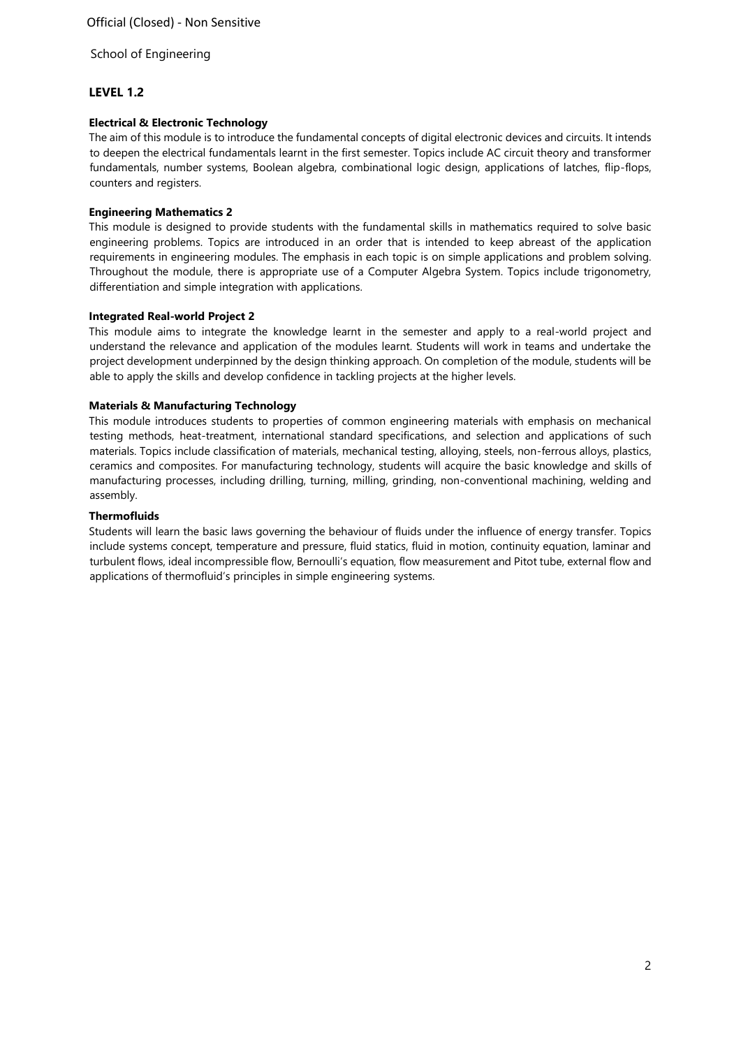# **LEVEL 1.2**

# **Electrical & Electronic Technology**

The aim of this module is to introduce the fundamental concepts of digital electronic devices and circuits. It intends to deepen the electrical fundamentals learnt in the first semester. Topics include AC circuit theory and transformer fundamentals, number systems, Boolean algebra, combinational logic design, applications of latches, flip-flops, counters and registers.

# **Engineering Mathematics 2**

This module is designed to provide students with the fundamental skills in mathematics required to solve basic engineering problems. Topics are introduced in an order that is intended to keep abreast of the application requirements in engineering modules. The emphasis in each topic is on simple applications and problem solving. Throughout the module, there is appropriate use of a Computer Algebra System. Topics include trigonometry, differentiation and simple integration with applications.

# **Integrated Real-world Project 2**

This module aims to integrate the knowledge learnt in the semester and apply to a real-world project and understand the relevance and application of the modules learnt. Students will work in teams and undertake the project development underpinned by the design thinking approach. On completion of the module, students will be able to apply the skills and develop confidence in tackling projects at the higher levels.

# **Materials & Manufacturing Technology**

This module introduces students to properties of common engineering materials with emphasis on mechanical testing methods, heat-treatment, international standard specifications, and selection and applications of such materials. Topics include classification of materials, mechanical testing, alloying, steels, non-ferrous alloys, plastics, ceramics and composites. For manufacturing technology, students will acquire the basic knowledge and skills of manufacturing processes, including drilling, turning, milling, grinding, non-conventional machining, welding and assembly.

# **Thermofluids**

Students will learn the basic laws governing the behaviour of fluids under the influence of energy transfer. Topics include systems concept, temperature and pressure, fluid statics, fluid in motion, continuity equation, laminar and turbulent flows, ideal incompressible flow, Bernoulli's equation, flow measurement and Pitot tube, external flow and applications of thermofluid's principles in simple engineering systems.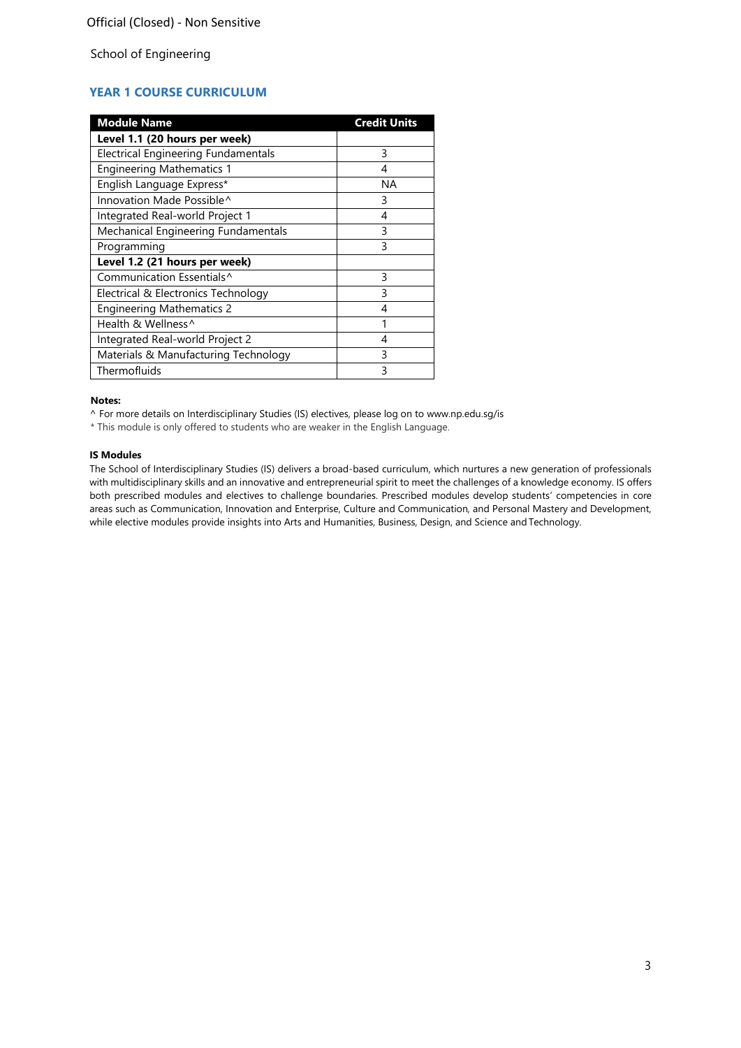# **YEAR 1 COURSE CURRICULUM**

| <b>Module Name</b>                         | <b>Credit Units</b> |
|--------------------------------------------|---------------------|
| Level 1.1 (20 hours per week)              |                     |
| <b>Electrical Engineering Fundamentals</b> | 3                   |
| <b>Engineering Mathematics 1</b>           | 4                   |
| English Language Express*                  | ΝA                  |
| Innovation Made Possible^                  | 3                   |
| Integrated Real-world Project 1            | 4                   |
| Mechanical Engineering Fundamentals        | 3                   |
| Programming                                | 3                   |
| Level 1.2 (21 hours per week)              |                     |
| Communication Essentials^                  | 3                   |
| Electrical & Electronics Technology        | 3                   |
| <b>Engineering Mathematics 2</b>           | 4                   |
| Health & Wellness^                         |                     |
| Integrated Real-world Project 2            | 4                   |
| Materials & Manufacturing Technology       | 3                   |
| Thermofluids                               | ς                   |

#### **Notes:**

^ For more details on Interdisciplinary Studies (IS) electives, please log on to [www.np.edu.sg/is](http://www.np.edu.sg/is/)

\* This module is only offered to students who are weaker in the English Language.

# **IS Modules**

The School of Interdisciplinary Studies (IS) delivers a broad-based curriculum, which nurtures a new generation of professionals with multidisciplinary skills and an innovative and entrepreneurial spirit to meet the challenges of a knowledge economy. IS offers both prescribed modules and electives to challenge boundaries. Prescribed modules develop students' competencies in core areas such as Communication, Innovation and Enterprise, Culture and Communication, and Personal Mastery and Development, while elective modules provide insights into Arts and Humanities, Business, Design, and Science and Technology.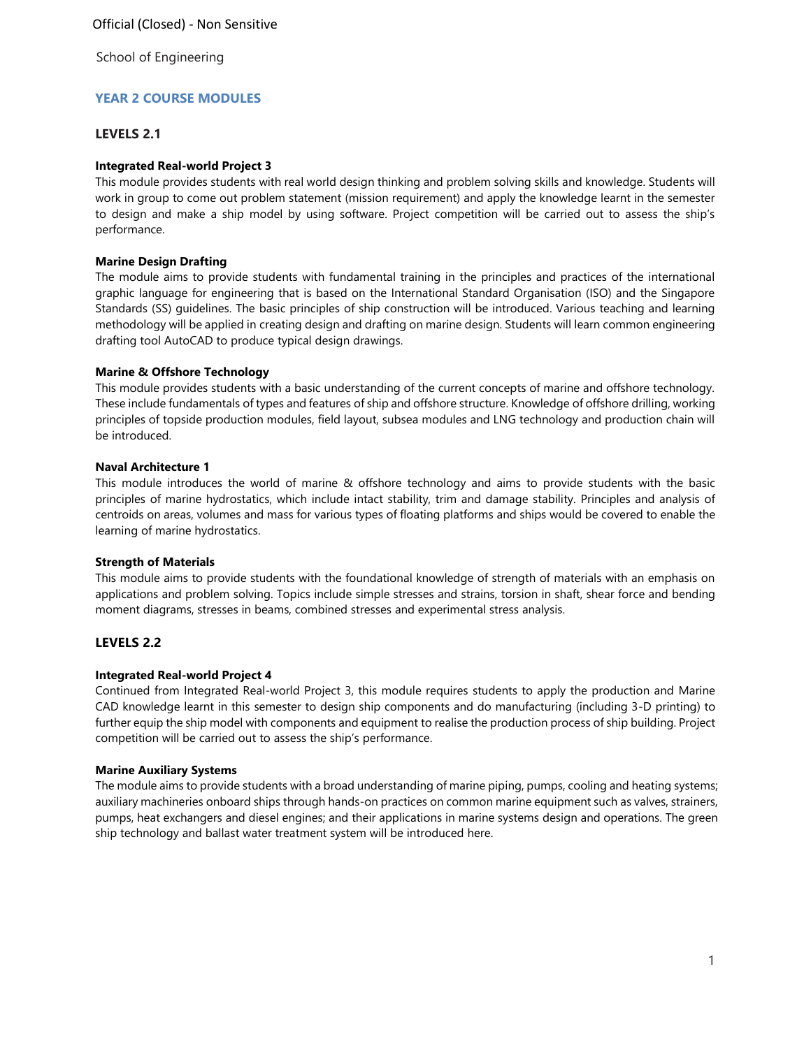# **YEAR 2 COURSE MODULES**

# **LEVELS 2.1**

# **Integrated Real-world Project 3**

This module provides students with real world design thinking and problem solving skills and knowledge. Students will work in group to come out problem statement (mission requirement) and apply the knowledge learnt in the semester to design and make a ship model by using software. Project competition will be carried out to assess the ship's performance.

## **Marine Design Drafting**

The module aims to provide students with fundamental training in the principles and practices of the international graphic language for engineering that is based on the International Standard Organisation (ISO) and the Singapore Standards (SS) guidelines. The basic principles of ship construction will be introduced. Various teaching and learning methodology will be applied in creating design and drafting on marine design. Students will learn common engineering drafting tool AutoCAD to produce typical design drawings.

# **Marine & Offshore Technology**

This module provides students with a basic understanding of the current concepts of marine and offshore technology. These include fundamentals of types and features of ship and offshore structure. Knowledge of offshore drilling, working principles of topside production modules, field layout, subsea modules and LNG technology and production chain will be introduced.

# **Naval Architecture 1**

This module introduces the world of marine & offshore technology and aims to provide students with the basic principles of marine hydrostatics, which include intact stability, trim and damage stability. Principles and analysis of centroids on areas, volumes and mass for various types of floating platforms and ships would be covered to enable the learning of marine hydrostatics.

### **Strength of Materials**

This module aims to provide students with the foundational knowledge of strength of materials with an emphasis on applications and problem solving. Topics include simple stresses and strains, torsion in shaft, shear force and bending moment diagrams, stresses in beams, combined stresses and experimental stress analysis.

# **LEVELS 2.2**

# **Integrated Real-world Project 4**

Continued from Integrated Real-world Project 3, this module requires students to apply the production and Marine CAD knowledge learnt in this semester to design ship components and do manufacturing (including 3-D printing) to further equip the ship model with components and equipment to realise the production process of ship building. Project competition will be carried out to assess the ship's performance.

### **Marine Auxiliary Systems**

The module aims to provide students with a broad understanding of marine piping, pumps, cooling and heating systems; auxiliary machineries onboard ships through hands-on practices on common marine equipment such as valves, strainers, pumps, heat exchangers and diesel engines; and their applications in marine systems design and operations. The green ship technology and ballast water treatment system will be introduced here.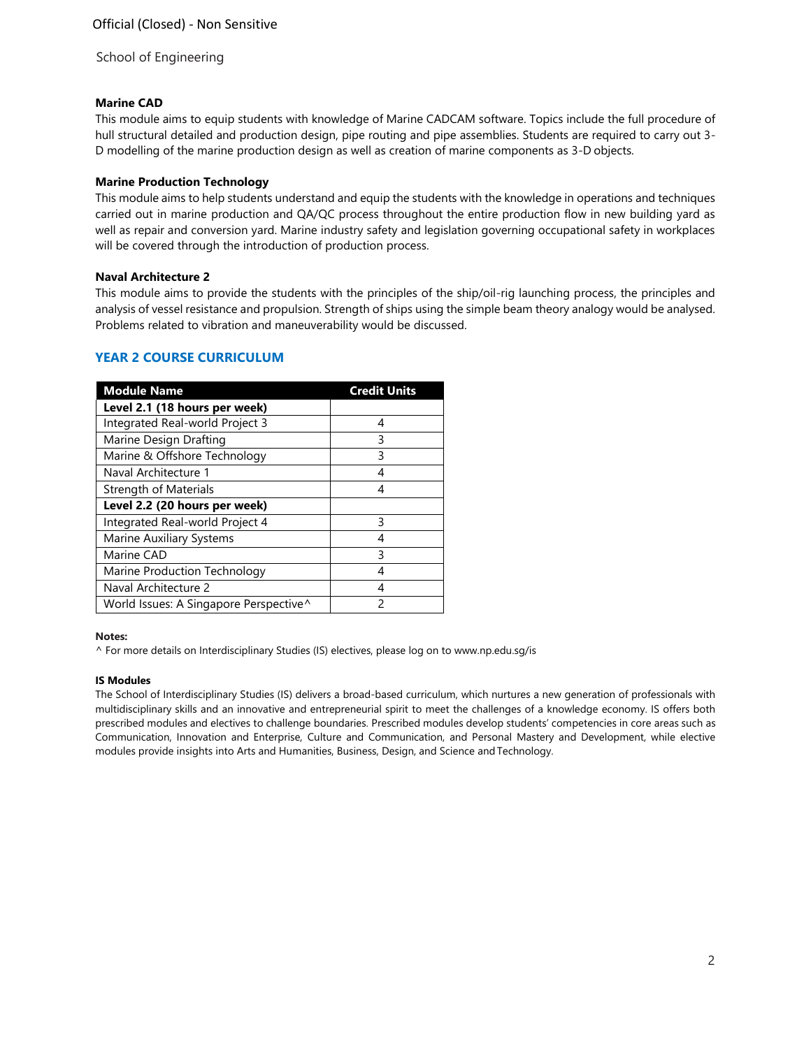# **Marine CAD**

This module aims to equip students with knowledge of Marine CADCAM software. Topics include the full procedure of hull structural detailed and production design, pipe routing and pipe assemblies. Students are required to carry out 3- D modelling of the marine production design as well as creation of marine components as 3-D objects.

# **Marine Production Technology**

This module aims to help students understand and equip the students with the knowledge in operations and techniques carried out in marine production and QA/QC process throughout the entire production flow in new building yard as well as repair and conversion yard. Marine industry safety and legislation governing occupational safety in workplaces will be covered through the introduction of production process.

### **Naval Architecture 2**

This module aims to provide the students with the principles of the ship/oil-rig launching process, the principles and analysis of vessel resistance and propulsion. Strength of ships using the simple beam theory analogy would be analysed. Problems related to vibration and maneuverability would be discussed.

# **YEAR 2 COURSE CURRICULUM**

| <b>Module Name</b>                     | <b>Credit Units</b> |
|----------------------------------------|---------------------|
| Level 2.1 (18 hours per week)          |                     |
| Integrated Real-world Project 3        | 4                   |
| Marine Design Drafting                 | 3                   |
| Marine & Offshore Technology           | 3                   |
| Naval Architecture 1                   | 4                   |
| <b>Strength of Materials</b>           |                     |
| Level 2.2 (20 hours per week)          |                     |
| Integrated Real-world Project 4        | ς                   |
| Marine Auxiliary Systems               | 4                   |
| Marine CAD                             | 3                   |
| Marine Production Technology           | 4                   |
| Naval Architecture 2                   | 4                   |
| World Issues: A Singapore Perspective^ | っ                   |

#### **Notes:**

^ For more details on Interdisciplinary Studies (IS) electives, please log on to [www.np.edu.sg/is](http://www.np.edu.sg/is/)

#### **IS Modules**

The School of Interdisciplinary Studies (IS) delivers a broad-based curriculum, which nurtures a new generation of professionals with multidisciplinary skills and an innovative and entrepreneurial spirit to meet the challenges of a knowledge economy. IS offers both prescribed modules and electives to challenge boundaries. Prescribed modules develop students' competencies in core areas such as Communication, Innovation and Enterprise, Culture and Communication, and Personal Mastery and Development, while elective modules provide insights into Arts and Humanities, Business, Design, and Science andTechnology.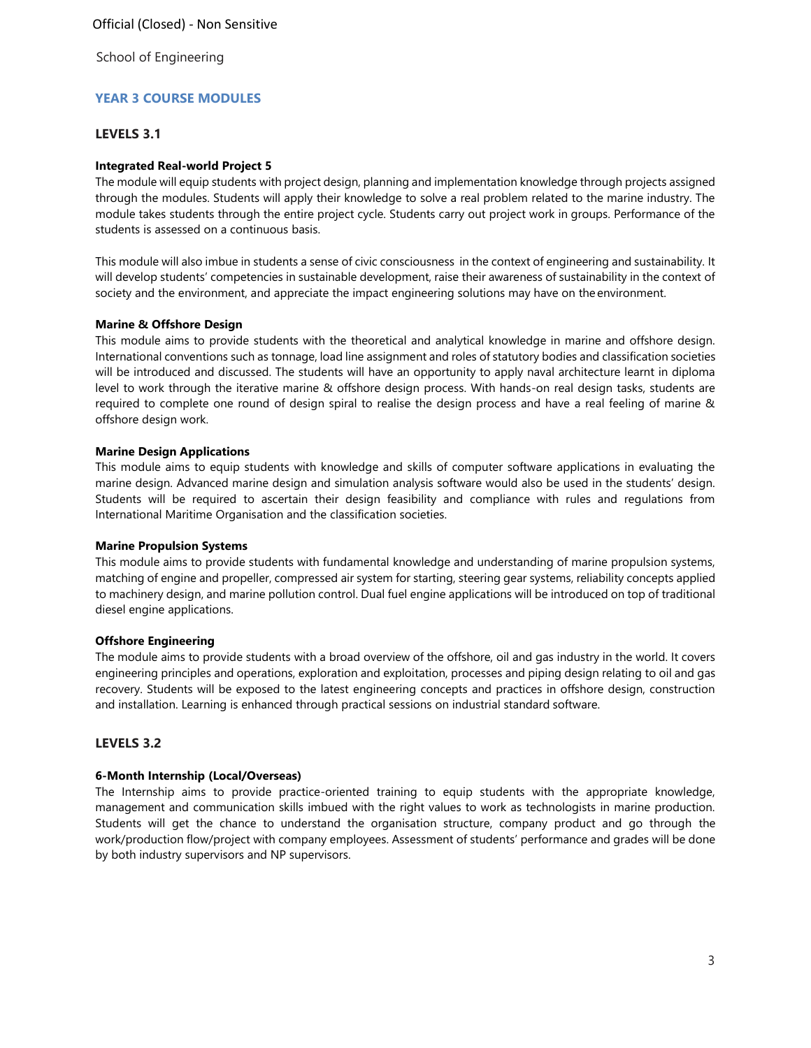# **YEAR 3 COURSE MODULES**

# **LEVELS 3.1**

## **Integrated Real-world Project 5**

The module will equip students with project design, planning and implementation knowledge through projects assigned through the modules. Students will apply their knowledge to solve a real problem related to the marine industry. The module takes students through the entire project cycle. Students carry out project work in groups. Performance of the students is assessed on a continuous basis.

This module will also imbue in students a sense of civic consciousness in the context of engineering and sustainability. It will develop students' competencies in sustainable development, raise their awareness of sustainability in the context of society and the environment, and appreciate the impact engineering solutions may have on the environment.

# **Marine & Offshore Design**

This module aims to provide students with the theoretical and analytical knowledge in marine and offshore design. International conventions such as tonnage, load line assignment and roles of statutory bodies and classification societies will be introduced and discussed. The students will have an opportunity to apply naval architecture learnt in diploma level to work through the iterative marine & offshore design process. With hands-on real design tasks, students are required to complete one round of design spiral to realise the design process and have a real feeling of marine & offshore design work.

### **Marine Design Applications**

This module aims to equip students with knowledge and skills of computer software applications in evaluating the marine design. Advanced marine design and simulation analysis software would also be used in the students' design. Students will be required to ascertain their design feasibility and compliance with rules and regulations from International Maritime Organisation and the classification societies.

### **Marine Propulsion Systems**

This module aims to provide students with fundamental knowledge and understanding of marine propulsion systems, matching of engine and propeller, compressed air system for starting, steering gear systems, reliability concepts applied to machinery design, and marine pollution control. Dual fuel engine applications will be introduced on top of traditional diesel engine applications.

### **Offshore Engineering**

The module aims to provide students with a broad overview of the offshore, oil and gas industry in the world. It covers engineering principles and operations, exploration and exploitation, processes and piping design relating to oil and gas recovery. Students will be exposed to the latest engineering concepts and practices in offshore design, construction and installation. Learning is enhanced through practical sessions on industrial standard software.

# **LEVELS 3.2**

### **6-Month Internship (Local/Overseas)**

The Internship aims to provide practice-oriented training to equip students with the appropriate knowledge, management and communication skills imbued with the right values to work as technologists in marine production. Students will get the chance to understand the organisation structure, company product and go through the work/production flow/project with company employees. Assessment of students' performance and grades will be done by both industry supervisors and NP supervisors.